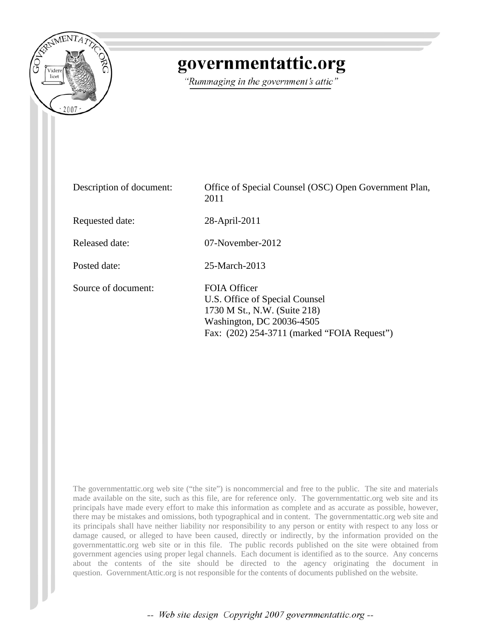

## governmentattic.org

"Rummaging in the government's attic"

| Description of document: | Office of Special Counsel (OSC) Open Government Plan,<br>2011                                                                                                     |
|--------------------------|-------------------------------------------------------------------------------------------------------------------------------------------------------------------|
| Requested date:          | 28-April-2011                                                                                                                                                     |
| Released date:           | $07$ -November-2012                                                                                                                                               |
| Posted date:             | 25-March-2013                                                                                                                                                     |
| Source of document:      | <b>FOIA Officer</b><br>U.S. Office of Special Counsel<br>1730 M St., N.W. (Suite 218)<br>Washington, DC 20036-4505<br>Fax: (202) 254-3711 (marked "FOIA Request") |

The governmentattic.org web site ("the site") is noncommercial and free to the public. The site and materials made available on the site, such as this file, are for reference only. The governmentattic.org web site and its principals have made every effort to make this information as complete and as accurate as possible, however, there may be mistakes and omissions, both typographical and in content. The governmentattic.org web site and its principals shall have neither liability nor responsibility to any person or entity with respect to any loss or damage caused, or alleged to have been caused, directly or indirectly, by the information provided on the governmentattic.org web site or in this file. The public records published on the site were obtained from government agencies using proper legal channels. Each document is identified as to the source. Any concerns about the contents of the site should be directed to the agency originating the document in question. GovernmentAttic.org is not responsible for the contents of documents published on the website.

-- Web site design Copyright 2007 governmentattic.org --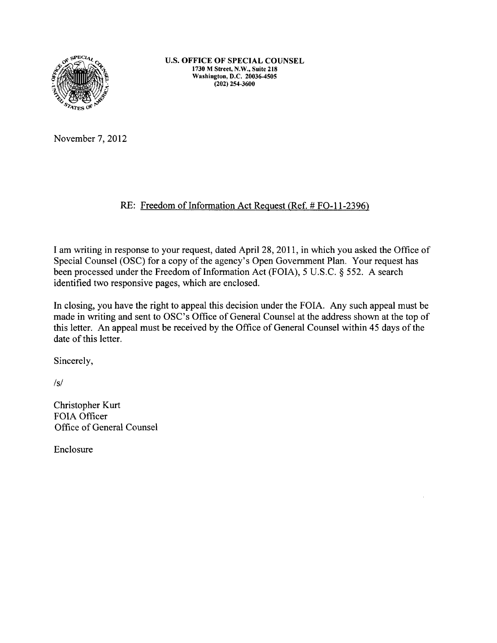

U.S. OFFICE OF SPECIAL COUNSEL 1730 M Street, N.W., Suite 218 Washington, D.C. 20036-4505 (202) 254-3600

November 7, 2012

## RE: Freedom of Information Act Request (Ref.# F0-11-2396)

I am writing in response to your request, dated April28, 2011, in which you asked the Office of Special Counsel (OSC) for a copy of the agency's Open Government Plan. Your request has been processed under the Freedom of Information Act (FOIA), 5 U.S.C. § 552. A search identified two responsive pages, which are enclosed.

In closing, you have the right to appeal this decision under the FOIA. Any such appeal must be made in writing and sent to OSC's Office of General Counsel at the address shown at the top of this letter. An appeal must be received by the Office of General Counsel within 45 days of the date of this letter.

Sincerely,

*Is/* 

Christopher Kurt FOIA Officer Office of General Counsel

Enclosure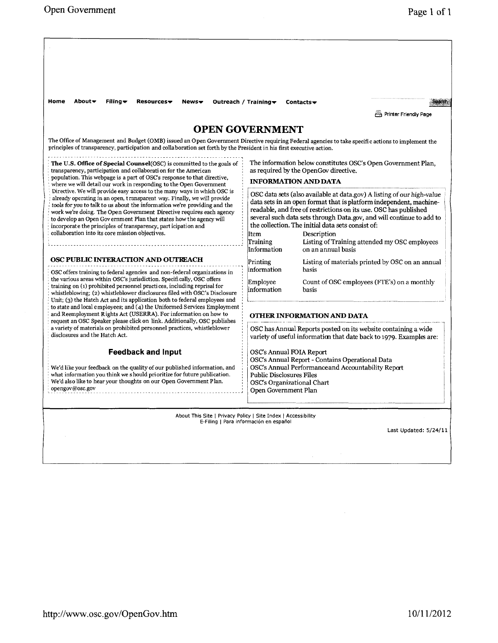| Home<br>About <del>v</del><br>Filing *<br>$Resources \rightarrow$<br>News                                                                                                                                                                                                                                                                                                                                                                                                                                                                                                 | Outreach / Training $\blacktriangledown$                                                                                                                                                                                                                                                                                                                                                                                                                               | Contacts $\bullet$                               | Search<br>Printer Friendly Page             |
|---------------------------------------------------------------------------------------------------------------------------------------------------------------------------------------------------------------------------------------------------------------------------------------------------------------------------------------------------------------------------------------------------------------------------------------------------------------------------------------------------------------------------------------------------------------------------|------------------------------------------------------------------------------------------------------------------------------------------------------------------------------------------------------------------------------------------------------------------------------------------------------------------------------------------------------------------------------------------------------------------------------------------------------------------------|--------------------------------------------------|---------------------------------------------|
| <b>OPEN GOVERNMENT</b>                                                                                                                                                                                                                                                                                                                                                                                                                                                                                                                                                    |                                                                                                                                                                                                                                                                                                                                                                                                                                                                        |                                                  |                                             |
| The Office of Management and Budget (OMB) issued an Open Government Directive requiring Federal agencies to take specific actions to implement the<br>principles of transparency, participation and collaboration set forth by the President in his first executive action.                                                                                                                                                                                                                                                                                               |                                                                                                                                                                                                                                                                                                                                                                                                                                                                        |                                                  |                                             |
| The U.S. Office of Special Counsel(OSC) is committed to the goals of<br>transparency, participation and collaboration for the American<br>population. This webpage is a part of OSC's response to that directive,                                                                                                                                                                                                                                                                                                                                                         | The information below constitutes OSC's Open Government Plan,<br>as required by the OpenGov directive.<br><b>INFORMATION AND DATA</b>                                                                                                                                                                                                                                                                                                                                  |                                                  |                                             |
| where we will detail our work in responding to the Open Government<br>Directive. We will provide easy access to the many ways in which OSC is<br>already operating in an open, transparent way. Finally, we will provide<br>tools for you to talk to us about the information we're providing and the<br>work we're doing. The Open Government Directive requires each agency<br>to develop an Open Gov ernment Plan that states how the agency will<br>incorporate the principles of transparency, part icipation and<br>collaboration into its core mission objectives. | OSC data sets (also available at data.gov) A listing of our high-value<br>data sets in an open format that is platform independent, machine-<br>readable, and free of restrictions on its use. OSC has published<br>several such data sets through Data.gov, and will continue to add to<br>the collection. The initial data sets consist of:<br>Item<br>Description<br>Training<br>Listing of Training attended my OSC employees<br>Information<br>on an annual basis |                                                  |                                             |
| OSC PUBLIC INTERACTION AND OUTREACH                                                                                                                                                                                                                                                                                                                                                                                                                                                                                                                                       | Printing<br>information<br>basis<br>Employee<br>information<br>basis                                                                                                                                                                                                                                                                                                                                                                                                   | Listing of materials printed by OSC on an annual |                                             |
| OSC offers training to federal agencies and non-federal organizations in<br>the various areas within OSC's jurisdiction. Specifically, OSC offers<br>training on (1) prohibited personnel practices, including reprisal for<br>whistleblowing; (2) whistleblower disclosures filed with OSC's Disclosure<br>Unit; (3) the Hatch Act and its application both to federal employees and                                                                                                                                                                                     |                                                                                                                                                                                                                                                                                                                                                                                                                                                                        |                                                  | Count of OSC employees (FTE's) on a monthly |
| to state and local employees; and (4) the Uniformed Services Employment<br>and Reemployment Rights Act (USERRA). For information on how to<br>request an OSC Speaker please click on link. Additionally, OSC publishes                                                                                                                                                                                                                                                                                                                                                    |                                                                                                                                                                                                                                                                                                                                                                                                                                                                        | OTHER INFORMATION AND DATA                       |                                             |
| a variety of materials on prohibited personnel practices, whistleblower<br>disclosures and the Hatch Act.                                                                                                                                                                                                                                                                                                                                                                                                                                                                 | OSC has Annual Reports posted on its website containing a wide<br>variety of useful information that date back to 1979. Examples are:                                                                                                                                                                                                                                                                                                                                  |                                                  |                                             |
| <b>Feedback and Input</b><br>We'd like your feedback on the quality of our published information, and<br>what information you think we should prioritize for future publication.<br>We'd also like to hear your thoughts on our Open Government Plan.<br>opengov@osc.gov                                                                                                                                                                                                                                                                                                  | OSC's Annual FOIA Report<br>OSC's Annual Report - Contains Operational Data<br>OSC's Annual Performance and Accountability Report<br><b>Public Disclosures Files</b><br>OSC's Organizational Chart<br>Open Government Plan                                                                                                                                                                                                                                             |                                                  |                                             |
| About This Site   Privacy Policy   Site Index   Accessibility                                                                                                                                                                                                                                                                                                                                                                                                                                                                                                             |                                                                                                                                                                                                                                                                                                                                                                                                                                                                        |                                                  |                                             |